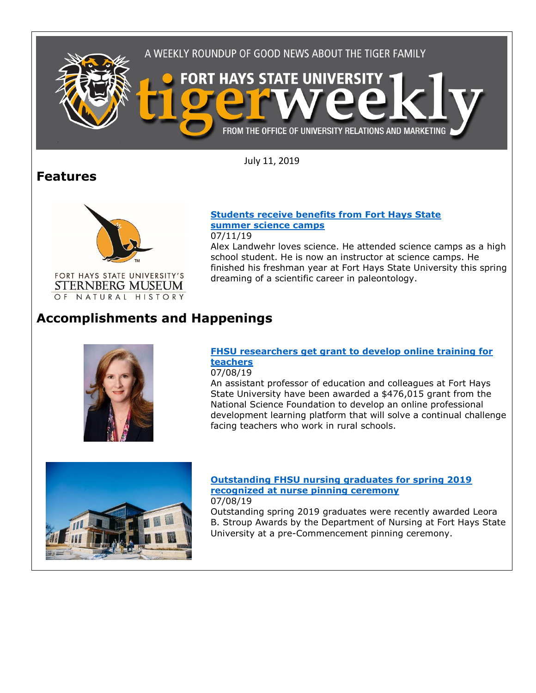

July 11, 2019

## **Features**



OF NATURAL HISTORY

**[Students receive benefits from Fort Hays State](https://www.fhsu.edu/news/2019/students-receive-benefits-from-fort-hays-state-summer-science-camps) [summer science camps](https://www.fhsu.edu/news/2019/students-receive-benefits-from-fort-hays-state-summer-science-camps)** 07/11/19

Alex Landwehr loves science. He attended science camps as a high school student. He is now an instructor at science camps. He finished his freshman year at Fort Hays State University this spring dreaming of a scientific career in paleontology.

# **Accomplishments and Happenings**



#### **[FHSU researchers get grant to develop online training for](https://www.fhsu.edu/news/2019/07/fhsu-researchers-get-grant-to-develop-online-training-for-teachers)  [teachers](https://www.fhsu.edu/news/2019/07/fhsu-researchers-get-grant-to-develop-online-training-for-teachers)**

07/08/19

An assistant professor of education and colleagues at Fort Hays State University have been awarded a \$476,015 grant from the National Science Foundation to develop an online professional development learning platform that will solve a continual challenge facing teachers who work in rural schools.



### **[Outstanding FHSU nursing graduates for spring 2019](https://www.fhsu.edu/news/2019/07/outstanding-fhsu-nursing-graduates-for-spring-2019-recognized-at-nurse-pinning-ceremony)  [recognized at nurse pinning ceremony](https://www.fhsu.edu/news/2019/07/outstanding-fhsu-nursing-graduates-for-spring-2019-recognized-at-nurse-pinning-ceremony)**

07/08/19

Outstanding spring 2019 graduates were recently awarded Leora B. Stroup Awards by the Department of Nursing at Fort Hays State University at a pre-Commencement pinning ceremony.